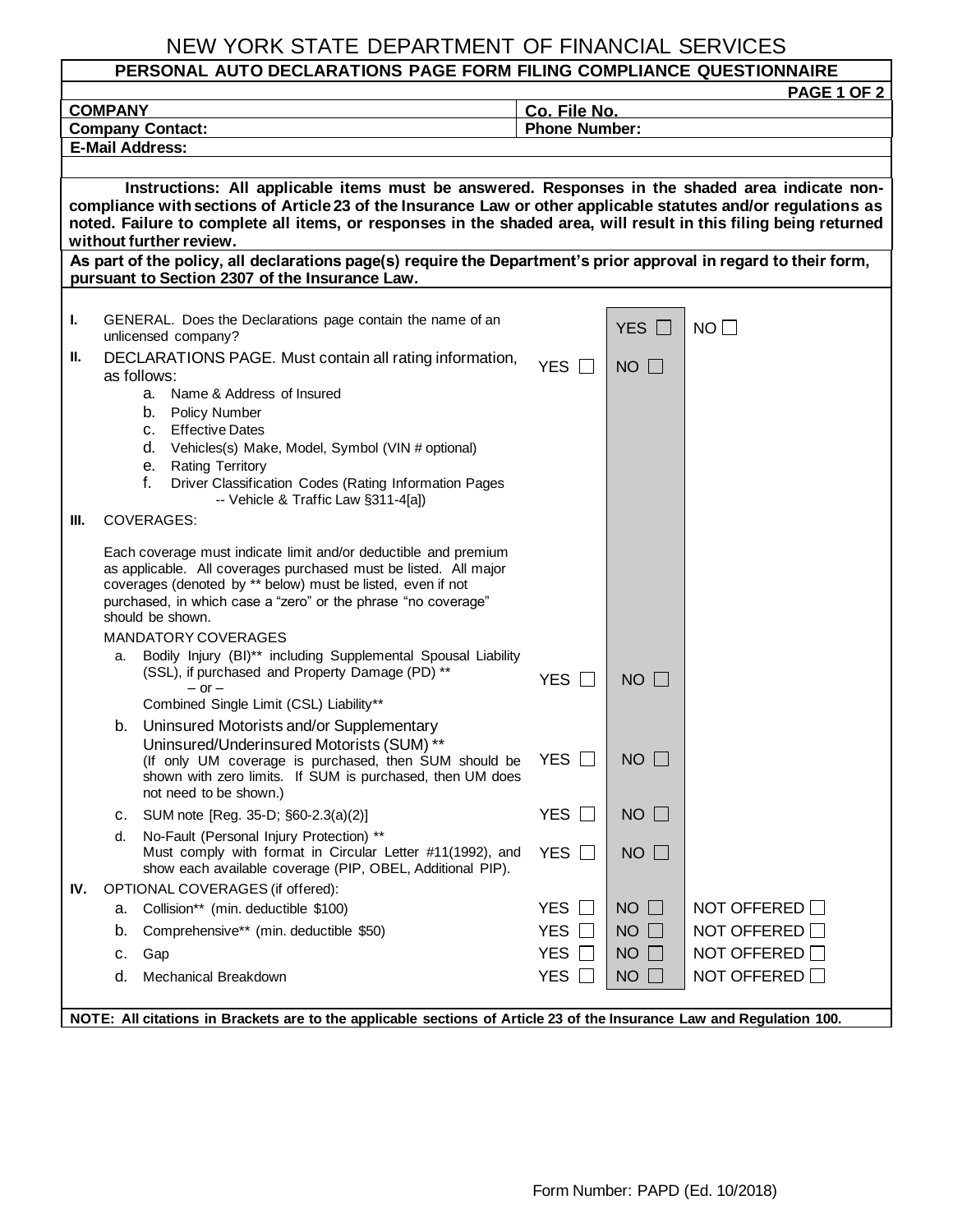## NEW YORK STATE DEPARTMENT OF FINANCIAL SERVICES

## **PERSONAL AUTO DECLARATIONS PAGE FORM FILING COMPLIANCE QUESTIONNAIRE PAGE 1 OF 2 COMPANY Co. File No. Company Contact:** Phone Number: **E-Mail Address: Instructions: All applicable items must be answered. Responses in the shaded area indicate noncompliance with sections of Article 23 of the Insurance Law or other applicable statutes and/or regulations as noted. Failure to complete all items, or responses in the shaded area, will result in this filing being returned without further review. As part of the policy, all declarations page(s) require the Department's prior approval in regard to their form, pursuant to Section 2307 of the Insurance Law. I.** GENERAL. Does the Declarations page contain the name of an  $\blacksquare$  YES  $\square$  NO **II.** DECLARATIONS PAGE. Must contain all rating information,  $YES \Box$  NO as follows: a. Name & Address of Insured b. Policy Number c. Effective Dates d. Vehicles(s) Make, Model, Symbol (VIN # optional) e. Rating Territory f. Driver Classification Codes (Rating Information Pages -- Vehicle & Traffic Law §311-4[a]) **III.** COVERAGES: Each coverage must indicate limit and/or deductible and premium as applicable. All coverages purchased must be listed. All major coverages (denoted by \*\* below) must be listed, even if not purchased, in which case a "zero" or the phrase "no coverage" should be shown. MANDATORY COVERAGES a. Bodily Injury (BI)\*\* including Supplemental Spousal Liability (SSL), if purchased and Property Damage (PD) \*\*  $-$  or  $-$ Combined Single Limit (CSL) Liability\*\* YES  $\Box$  NO  $\Box$ b. Uninsured Motorists and/or Supplementary Uninsured/Underinsured Motorists (SUM) \*\* (If only UM coverage is purchased, then SUM should be shown with zero limits. If SUM is purchased, then UM does not need to be shown.) YES  $\Box$  NO  $\Box$ C. SUM note [Reg. 35-D; §60-2.3(a)(2)] YES  $□$  NO  $□$ d. No-Fault (Personal Injury Protection) \*\* Must comply with format in Circular Letter #11(1992), and show each available coverage (PIP, OBEL, Additional PIP). YES  $\Box$  NO  $\Box$ **IV.** OPTIONAL COVERAGES (if offered): a. Collision\*\* (min. deductible \$100)  $\qquad \qquad \qquad$  YES  $\Box$  NO  $\Box$  NOT OFFERED  $\Box$ b. Comprehensive\*\* (min. deductible \$50)  $YES \Box \Box NO \Box \Box NOT OFFERED \Box$ c. Gap  $YES \Box \top NO \Box \top NO$  NOT OFFERED  $\Box$ d. Mechanical Breakdown YES NO NOT OFFERED

**NOTE: All citations in Brackets are to the applicable sections of Article 23 of the Insurance Law and Regulation 100.**